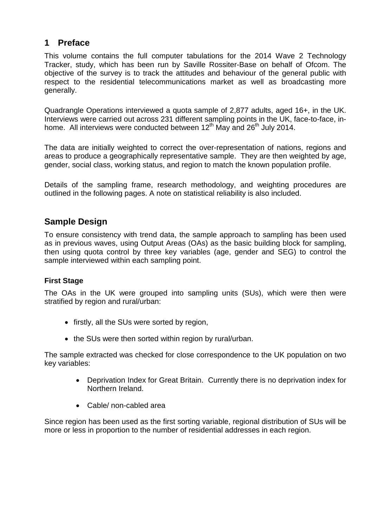### **1 Preface**

This volume contains the full computer tabulations for the 2014 Wave 2 Technology Tracker, study, which has been run by Saville Rossiter-Base on behalf of Ofcom. The objective of the survey is to track the attitudes and behaviour of the general public with respect to the residential telecommunications market as well as broadcasting more generally.

Quadrangle Operations interviewed a quota sample of 2,877 adults, aged 16+, in the UK. Interviews were carried out across 231 different sampling points in the UK, face-to-face, inhome. All interviews were conducted between  $12<sup>th</sup>$  May and  $26<sup>th</sup>$  July 2014.

The data are initially weighted to correct the over-representation of nations, regions and areas to produce a geographically representative sample. They are then weighted by age, gender, social class, working status, and region to match the known population profile.

Details of the sampling frame, research methodology, and weighting procedures are outlined in the following pages. A note on statistical reliability is also included.

## **Sample Design**

To ensure consistency with trend data, the sample approach to sampling has been used as in previous waves, using Output Areas (OAs) as the basic building block for sampling, then using quota control by three key variables (age, gender and SEG) to control the sample interviewed within each sampling point.

### **First Stage**

The OAs in the UK were grouped into sampling units (SUs), which were then were stratified by region and rural/urban:

- firstly, all the SUs were sorted by region,
- the SUs were then sorted within region by rural/urban.

The sample extracted was checked for close correspondence to the UK population on two key variables:

- Deprivation Index for Great Britain. Currently there is no deprivation index for Northern Ireland.
- Cable/ non-cabled area

Since region has been used as the first sorting variable, regional distribution of SUs will be more or less in proportion to the number of residential addresses in each region.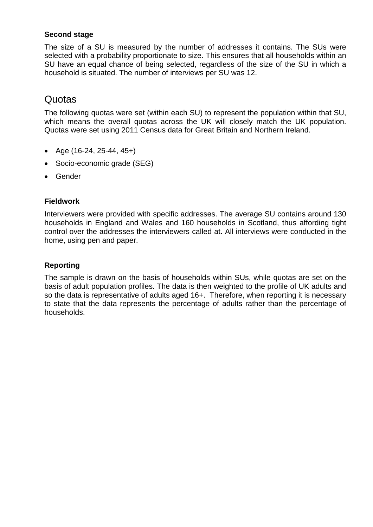### **Second stage**

The size of a SU is measured by the number of addresses it contains. The SUs were selected with a probability proportionate to size. This ensures that all households within an SU have an equal chance of being selected, regardless of the size of the SU in which a household is situated. The number of interviews per SU was 12.

## Quotas

The following quotas were set (within each SU) to represent the population within that SU, which means the overall quotas across the UK will closely match the UK population. Quotas were set using 2011 Census data for Great Britain and Northern Ireland.

- Age (16-24, 25-44, 45+)
- Socio-economic grade (SEG)
- Gender

### **Fieldwork**

Interviewers were provided with specific addresses. The average SU contains around 130 households in England and Wales and 160 households in Scotland, thus affording tight control over the addresses the interviewers called at. All interviews were conducted in the home, using pen and paper.

### **Reporting**

The sample is drawn on the basis of households within SUs, while quotas are set on the basis of adult population profiles. The data is then weighted to the profile of UK adults and so the data is representative of adults aged 16+. Therefore, when reporting it is necessary to state that the data represents the percentage of adults rather than the percentage of households.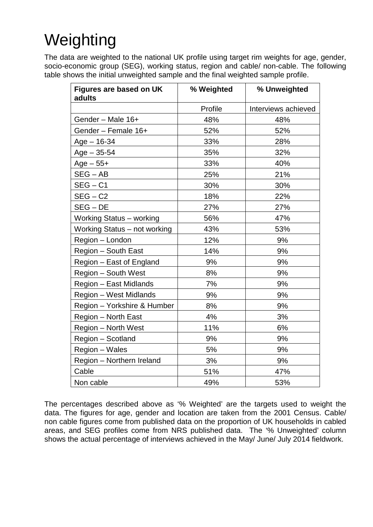# Weighting

The data are weighted to the national UK profile using target rim weights for age, gender, socio-economic group (SEG), working status, region and cable/ non-cable. The following table shows the initial unweighted sample and the final weighted sample profile.

| Figures are based on UK<br>adults | % Weighted | % Unweighted        |
|-----------------------------------|------------|---------------------|
|                                   | Profile    | Interviews achieved |
| Gender - Male 16+                 | 48%        | 48%                 |
| Gender - Female 16+               | 52%        | 52%                 |
| $Age - 16-34$                     | 33%        | 28%                 |
| $Age - 35 - 54$                   | 35%        | 32%                 |
| $Age - 55+$                       | 33%        | 40%                 |
| $SEG - AB$                        | 25%        | 21%                 |
| $SEG - C1$                        | 30%        | 30%                 |
| $SEG - C2$                        | 18%        | 22%                 |
| $SEG - DE$                        | 27%        | 27%                 |
| Working Status - working          | 56%        | 47%                 |
| Working Status - not working      | 43%        | 53%                 |
| Region - London                   | 12%        | 9%                  |
| Region - South East               | 14%        | 9%                  |
| Region - East of England          | 9%         | 9%                  |
| Region - South West               | 8%         | 9%                  |
| Region - East Midlands            | 7%         | 9%                  |
| Region - West Midlands            | 9%         | 9%                  |
| Region - Yorkshire & Humber       | 8%         | 9%                  |
| Region - North East               | 4%         | 3%                  |
| Region - North West               | 11%        | 6%                  |
| Region - Scotland                 | 9%         | 9%                  |
| Region - Wales                    | 5%         | 9%                  |
| Region - Northern Ireland         | 3%         | 9%                  |
| Cable                             | 51%        | 47%                 |
| Non cable                         | 49%        | 53%                 |

The percentages described above as '% Weighted' are the targets used to weight the data. The figures for age, gender and location are taken from the 2001 Census. Cable/ non cable figures come from published data on the proportion of UK households in cabled areas, and SEG profiles come from NRS published data. The '% Unweighted' column shows the actual percentage of interviews achieved in the May/ June/ July 2014 fieldwork.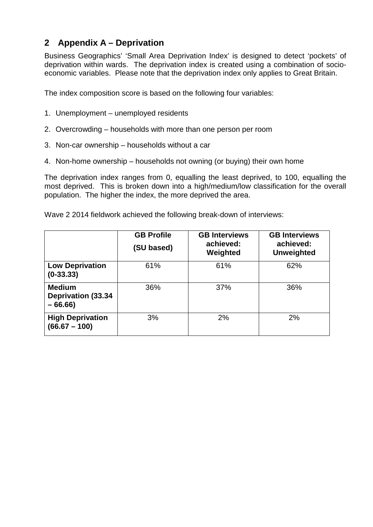## **2 Appendix A – Deprivation**

Business Geographics' 'Small Area Deprivation Index' is designed to detect 'pockets' of deprivation within wards. The deprivation index is created using a combination of socioeconomic variables. Please note that the deprivation index only applies to Great Britain.

The index composition score is based on the following four variables:

- 1. Unemployment unemployed residents
- 2. Overcrowding households with more than one person per room
- 3. Non-car ownership households without a car
- 4. Non-home ownership households not owning (or buying) their own home

The deprivation index ranges from 0, equalling the least deprived, to 100, equalling the most deprived. This is broken down into a high/medium/low classification for the overall population. The higher the index, the more deprived the area.

Wave 2 2014 fieldwork achieved the following break-down of interviews:

|                                                        | <b>GB Profile</b><br>(SU based) | <b>GB Interviews</b><br>achieved:<br>Weighted | <b>GB Interviews</b><br>achieved:<br><b>Unweighted</b> |
|--------------------------------------------------------|---------------------------------|-----------------------------------------------|--------------------------------------------------------|
| <b>Low Deprivation</b><br>$(0-33.33)$                  | 61%                             | 61%                                           | 62%                                                    |
| <b>Medium</b><br><b>Deprivation (33.34</b><br>$-66.66$ | 36%                             | 37%                                           | 36%                                                    |
| <b>High Deprivation</b><br>$(66.67 - 100)$             | 3%                              | 2%                                            | 2%                                                     |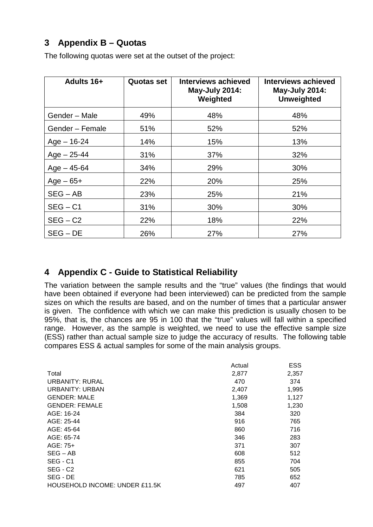## **3 Appendix B – Quotas**

The following quotas were set at the outset of the project:

| Adults 16+      | <b>Quotas set</b> | Interviews achieved<br><b>May-July 2014:</b><br>Weighted | <b>Interviews achieved</b><br><b>May-July 2014:</b><br><b>Unweighted</b> |
|-----------------|-------------------|----------------------------------------------------------|--------------------------------------------------------------------------|
| Gender - Male   | 49%               | 48%                                                      | 48%                                                                      |
| Gender - Female | 51%               | 52%                                                      | 52%                                                                      |
| $Age - 16-24$   | 14%               | 15%                                                      | 13%                                                                      |
| $Age - 25-44$   | 31%               | 37%                                                      | 32%                                                                      |
| $Age - 45 - 64$ | 34%               | 29%                                                      | 30%                                                                      |
| $Age - 65 +$    | 22%               | 20%                                                      | 25%                                                                      |
| $SEG - AB$      | 23%               | 25%                                                      | 21%                                                                      |
| $SEG - C1$      | 31%               | 30%                                                      | 30%                                                                      |
| $SEG - C2$      | 22%               | 18%                                                      | 22%                                                                      |
| $SEG - DE$      | 26%               | 27%                                                      | 27%                                                                      |

## **4 Appendix C - Guide to Statistical Reliability**

The variation between the sample results and the "true" values (the findings that would have been obtained if everyone had been interviewed) can be predicted from the sample sizes on which the results are based, and on the number of times that a particular answer is given. The confidence with which we can make this prediction is usually chosen to be 95%, that is, the chances are 95 in 100 that the "true" values will fall within a specified range. However, as the sample is weighted, we need to use the effective sample size (ESS) rather than actual sample size to judge the accuracy of results. The following table compares ESS & actual samples for some of the main analysis groups.

|                                | Actual | <b>ESS</b> |
|--------------------------------|--------|------------|
| Total                          | 2,877  | 2,357      |
| <b>URBANITY: RURAL</b>         | 470    | 374        |
| URBANITY: URBAN                | 2,407  | 1,995      |
| <b>GENDER: MALE</b>            | 1,369  | 1,127      |
| <b>GENDER: FEMALE</b>          | 1,508  | 1,230      |
| AGE: 16-24                     | 384    | 320        |
| AGE: 25-44                     | 916    | 765        |
| AGE: 45-64                     | 860    | 716        |
| AGE: 65-74                     | 346    | 283        |
| AGE: 75+                       | 371    | 307        |
| $SEG - AB$                     | 608    | 512        |
| SEG - C1                       | 855    | 704        |
| SEG - C <sub>2</sub>           | 621    | 505        |
| SEG - DE                       | 785    | 652        |
| HOUSEHOLD INCOME: UNDER £11.5K | 497    | 407        |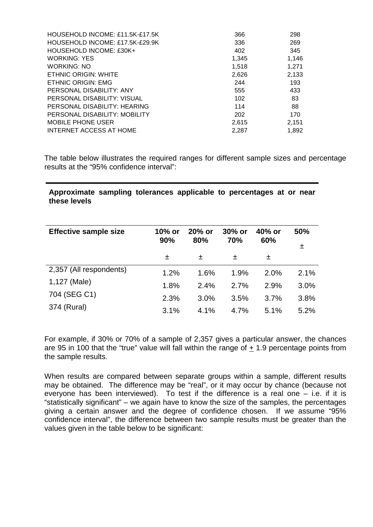| HOUSEHOLD INCOME: £11.5K-£17.5K | 366   | 298   |
|---------------------------------|-------|-------|
| HOUSEHOLD INCOME: £17.5K-£29.9K | 336   | 269   |
| HOUSEHOLD INCOME: £30K+         | 402   | 345   |
| <b>WORKING: YES</b>             | 1,345 | 1,146 |
| <b>WORKING: NO</b>              | 1,518 | 1,271 |
| <b>ETHNIC ORIGIN: WHITE</b>     | 2,626 | 2,133 |
| <b>ETHNIC ORIGIN: EMG</b>       | 244   | 193   |
| PERSONAL DISABILITY: ANY        | 555   | 433   |
| PERSONAL DISABILITY: VISUAL     | 102   | 83    |
| PERSONAL DISABILITY: HEARING    | 114   | 88    |
| PERSONAL DISABILITY: MOBILITY   | 202   | 170   |
| <b>MOBILE PHONE USER</b>        | 2,615 | 2,151 |
| <b>INTERNET ACCESS AT HOME</b>  | 2,287 | 1,892 |
|                                 |       |       |

The table below illustrates the required ranges for different sample sizes and percentage results at the "95% confidence interval":

#### **Approximate sampling tolerances applicable to percentages at or near these levels**

| <b>Effective sample size</b> | 10% or<br>90% | $20%$ or<br>80% | $30\%$ or<br>70% | 40% or<br>60% | 50%<br>士 |
|------------------------------|---------------|-----------------|------------------|---------------|----------|
|                              | 士             | 土               | 士                | 士             |          |
| 2,357 (All respondents)      | 1.2%          | 1.6%            | 1.9%             | $2.0\%$       | 2.1%     |
| 1,127 (Male)                 | 1.8%          | 2.4%            | 2.7%             | 2.9%          | 3.0%     |
| 704 (SEG C1)                 | 2.3%          | 3.0%            | 3.5%             | 3.7%          | 3.8%     |
| 374 (Rural)                  | 3.1%          | 4.1%            | 4.7%             | 5.1%          | 5.2%     |

For example, if 30% or 70% of a sample of 2,357 gives a particular answer, the chances are 95 in 100 that the "true" value will fall within the range of + 1.9 percentage points from the sample results.

When results are compared between separate groups within a sample, different results may be obtained. The difference may be "real", or it may occur by chance (because not everyone has been interviewed). To test if the difference is a real one – i.e. if it is "statistically significant" – we again have to know the size of the samples, the percentages giving a certain answer and the degree of confidence chosen. If we assume "95% confidence interval", the difference between two sample results must be greater than the values given in the table below to be significant: